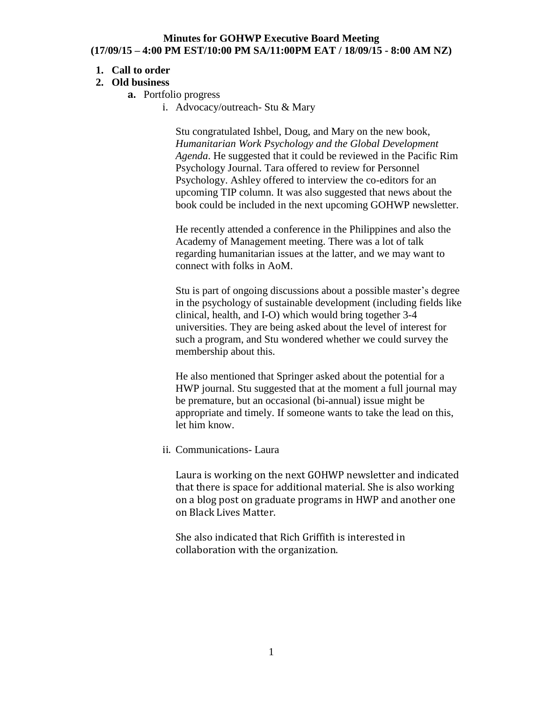#### **Minutes for GOHWP Executive Board Meeting (17/09/15 – 4:00 PM EST/10:00 PM SA/11:00PM EAT / 18/09/15 - 8:00 AM NZ)**

## **1. Call to order**

## **2. Old business**

- **a.** Portfolio progress
	- i. Advocacy/outreach- Stu & Mary

Stu congratulated Ishbel, Doug, and Mary on the new book, *Humanitarian Work Psychology and the Global Development Agenda*. He suggested that it could be reviewed in the Pacific Rim Psychology Journal. Tara offered to review for Personnel Psychology. Ashley offered to interview the co-editors for an upcoming TIP column. It was also suggested that news about the book could be included in the next upcoming GOHWP newsletter.

He recently attended a conference in the Philippines and also the Academy of Management meeting. There was a lot of talk regarding humanitarian issues at the latter, and we may want to connect with folks in AoM.

Stu is part of ongoing discussions about a possible master's degree in the psychology of sustainable development (including fields like clinical, health, and I-O) which would bring together 3-4 universities. They are being asked about the level of interest for such a program, and Stu wondered whether we could survey the membership about this.

He also mentioned that Springer asked about the potential for a HWP journal. Stu suggested that at the moment a full journal may be premature, but an occasional (bi-annual) issue might be appropriate and timely. If someone wants to take the lead on this, let him know.

ii. Communications- Laura

Laura is working on the next GOHWP newsletter and indicated that there is space for additional material. She is also working on a blog post on graduate programs in HWP and another one on Black Lives Matter.

She also indicated that Rich Griffith is interested in collaboration with the organization.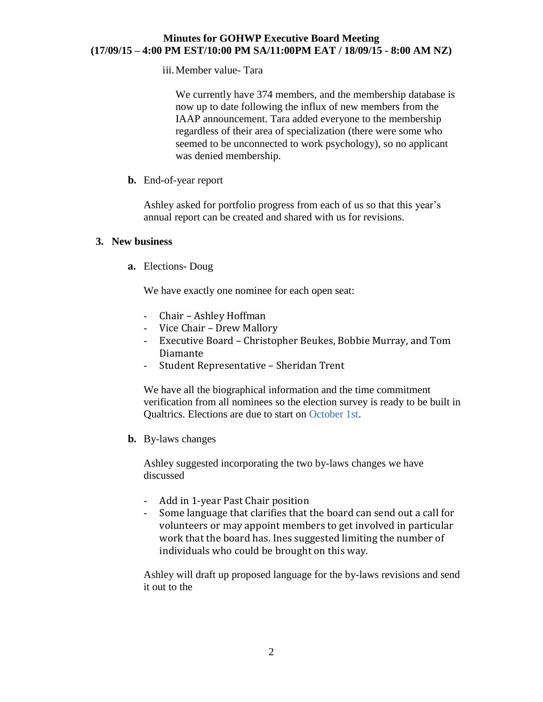#### **Minutes for GOHWP Executive Board Meeting (17/09/15 – 4:00 PM EST/10:00 PM SA/11:00PM EAT / 18/09/15 - 8:00 AM NZ)**

iii.Member value- Tara

We currently have 374 members, and the membership database is now up to date following the influx of new members from the IAAP announcement. Tara added everyone to the membership regardless of their area of specialization (there were some who seemed to be unconnected to work psychology), so no applicant was denied membership.

**b.** End-of-year report

Ashley asked for portfolio progress from each of us so that this year's annual report can be created and shared with us for revisions.

## **3. New business**

**a.** Elections- Doug

We have exactly one nominee for each open seat:

- Chair Ashley Hoffman
- Vice Chair Drew Mallory
- Executive Board Christopher Beukes, Bobbie Murray, and Tom Diamante
- Student Representative Sheridan Trent

We have all the biographical information and the time commitment verification from all nominees so the election survey is ready to be built in Qualtrics. Elections are due to start on October 1st.

**b.** By-laws changes

Ashley suggested incorporating the two by-laws changes we have discussed

- Add in 1-year Past Chair position
- Some language that clarifies that the board can send out a call for volunteers or may appoint members to get involved in particular work that the board has. Ines suggested limiting the number of individuals who could be brought on this way.

Ashley will draft up proposed language for the by-laws revisions and send it out to the